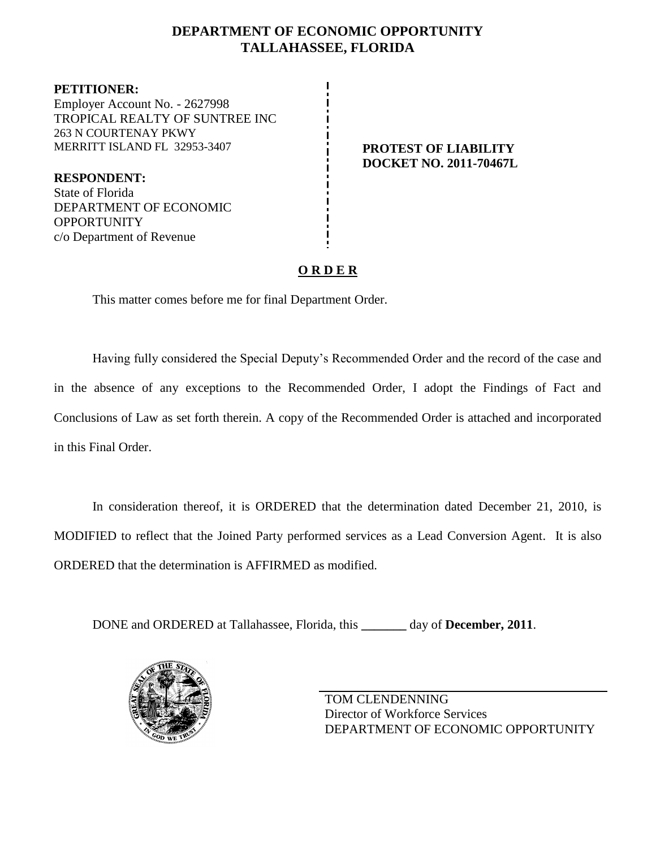## **DEPARTMENT OF ECONOMIC OPPORTUNITY TALLAHASSEE, FLORIDA**

**PETITIONER:** Employer Account No. - 2627998 TROPICAL REALTY OF SUNTREE INC 263 N COURTENAY PKWY MERRITT ISLAND FL 32953-3407 **PROTEST OF LIABILITY**

**RESPONDENT:** State of Florida DEPARTMENT OF ECONOMIC **OPPORTUNITY** c/o Department of Revenue

**DOCKET NO. 2011-70467L**

## **O R D E R**

This matter comes before me for final Department Order.

Having fully considered the Special Deputy's Recommended Order and the record of the case and in the absence of any exceptions to the Recommended Order, I adopt the Findings of Fact and Conclusions of Law as set forth therein. A copy of the Recommended Order is attached and incorporated in this Final Order.

In consideration thereof, it is ORDERED that the determination dated December 21, 2010, is MODIFIED to reflect that the Joined Party performed services as a Lead Conversion Agent. It is also ORDERED that the determination is AFFIRMED as modified.

DONE and ORDERED at Tallahassee, Florida, this **\_\_\_\_\_\_\_** day of **December, 2011**.



TOM CLENDENNING Director of Workforce Services DEPARTMENT OF ECONOMIC OPPORTUNITY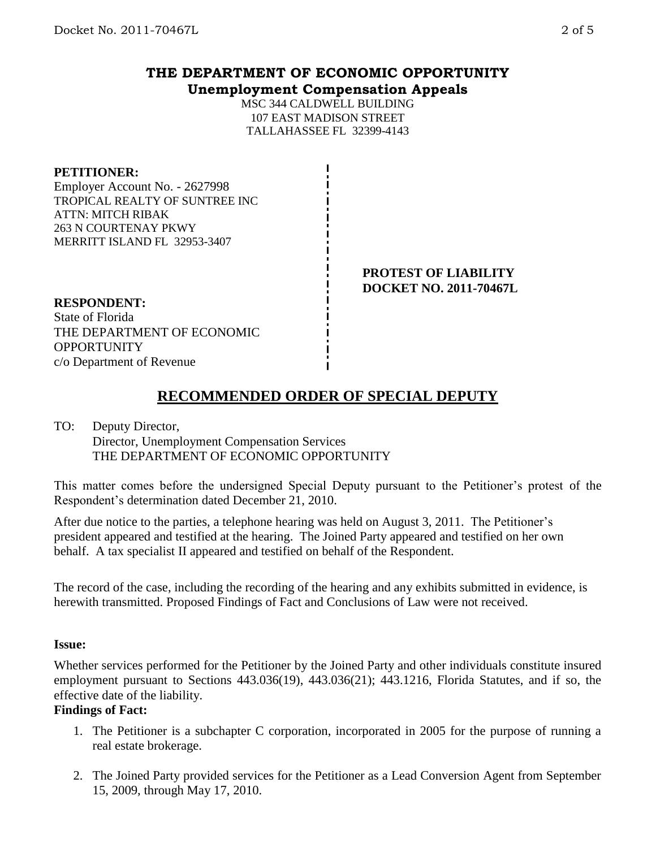# **THE DEPARTMENT OF ECONOMIC OPPORTUNITY Unemployment Compensation Appeals**

MSC 344 CALDWELL BUILDING 107 EAST MADISON STREET TALLAHASSEE FL 32399-4143

### **PETITIONER:**

Employer Account No. - 2627998 TROPICAL REALTY OF SUNTREE INC ATTN: MITCH RIBAK 263 N COURTENAY PKWY MERRITT ISLAND FL 32953-3407

> **PROTEST OF LIABILITY DOCKET NO. 2011-70467L**

## **RESPONDENT:**

State of Florida THE DEPARTMENT OF ECONOMIC **OPPORTUNITY** c/o Department of Revenue

# **RECOMMENDED ORDER OF SPECIAL DEPUTY**

#### TO: Deputy Director, Director, Unemployment Compensation Services THE DEPARTMENT OF ECONOMIC OPPORTUNITY

This matter comes before the undersigned Special Deputy pursuant to the Petitioner's protest of the Respondent's determination dated December 21, 2010.

After due notice to the parties, a telephone hearing was held on August 3, 2011. The Petitioner's president appeared and testified at the hearing. The Joined Party appeared and testified on her own behalf. A tax specialist II appeared and testified on behalf of the Respondent.

The record of the case, including the recording of the hearing and any exhibits submitted in evidence, is herewith transmitted. Proposed Findings of Fact and Conclusions of Law were not received.

## **Issue:**

Whether services performed for the Petitioner by the Joined Party and other individuals constitute insured employment pursuant to Sections 443.036(19), 443.036(21); 443.1216, Florida Statutes, and if so, the effective date of the liability.

## **Findings of Fact:**

- 1. The Petitioner is a subchapter C corporation, incorporated in 2005 for the purpose of running a real estate brokerage.
- 2. The Joined Party provided services for the Petitioner as a Lead Conversion Agent from September 15, 2009, through May 17, 2010.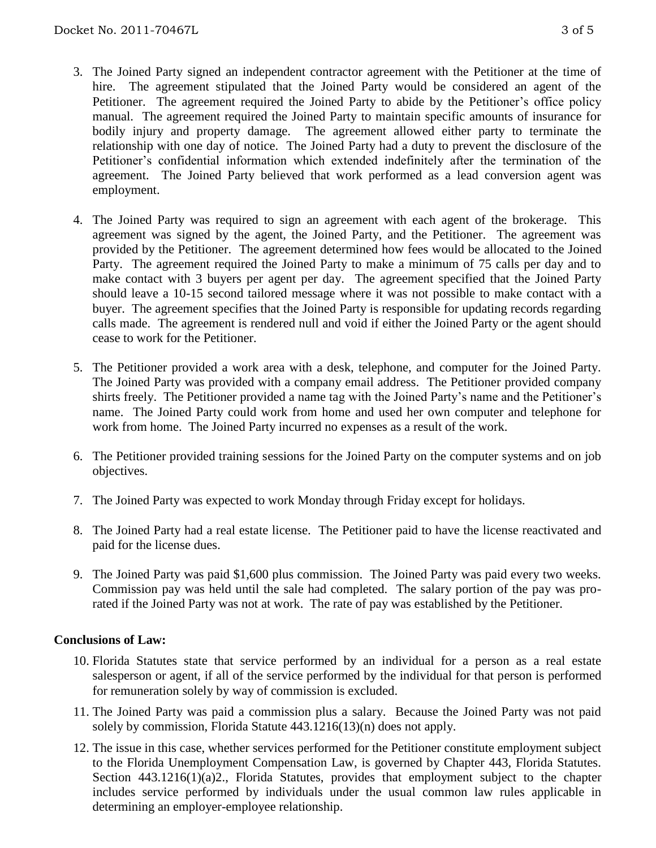- 3. The Joined Party signed an independent contractor agreement with the Petitioner at the time of hire. The agreement stipulated that the Joined Party would be considered an agent of the Petitioner. The agreement required the Joined Party to abide by the Petitioner's office policy manual. The agreement required the Joined Party to maintain specific amounts of insurance for bodily injury and property damage. The agreement allowed either party to terminate the relationship with one day of notice. The Joined Party had a duty to prevent the disclosure of the Petitioner's confidential information which extended indefinitely after the termination of the agreement. The Joined Party believed that work performed as a lead conversion agent was employment.
- 4. The Joined Party was required to sign an agreement with each agent of the brokerage. This agreement was signed by the agent, the Joined Party, and the Petitioner. The agreement was provided by the Petitioner. The agreement determined how fees would be allocated to the Joined Party. The agreement required the Joined Party to make a minimum of 75 calls per day and to make contact with 3 buyers per agent per day. The agreement specified that the Joined Party should leave a 10-15 second tailored message where it was not possible to make contact with a buyer. The agreement specifies that the Joined Party is responsible for updating records regarding calls made. The agreement is rendered null and void if either the Joined Party or the agent should cease to work for the Petitioner.
- 5. The Petitioner provided a work area with a desk, telephone, and computer for the Joined Party. The Joined Party was provided with a company email address. The Petitioner provided company shirts freely. The Petitioner provided a name tag with the Joined Party's name and the Petitioner's name. The Joined Party could work from home and used her own computer and telephone for work from home. The Joined Party incurred no expenses as a result of the work.
- 6. The Petitioner provided training sessions for the Joined Party on the computer systems and on job objectives.
- 7. The Joined Party was expected to work Monday through Friday except for holidays.
- 8. The Joined Party had a real estate license. The Petitioner paid to have the license reactivated and paid for the license dues.
- 9. The Joined Party was paid \$1,600 plus commission. The Joined Party was paid every two weeks. Commission pay was held until the sale had completed. The salary portion of the pay was prorated if the Joined Party was not at work. The rate of pay was established by the Petitioner.

## **Conclusions of Law:**

- 10. Florida Statutes state that service performed by an individual for a person as a real estate salesperson or agent, if all of the service performed by the individual for that person is performed for remuneration solely by way of commission is excluded.
- 11. The Joined Party was paid a commission plus a salary. Because the Joined Party was not paid solely by commission, Florida Statute 443.1216(13)(n) does not apply.
- 12. The issue in this case, whether services performed for the Petitioner constitute employment subject to the Florida Unemployment Compensation Law, is governed by Chapter 443, Florida Statutes. Section 443.1216(1)(a)2., Florida Statutes, provides that employment subject to the chapter includes service performed by individuals under the usual common law rules applicable in determining an employer-employee relationship.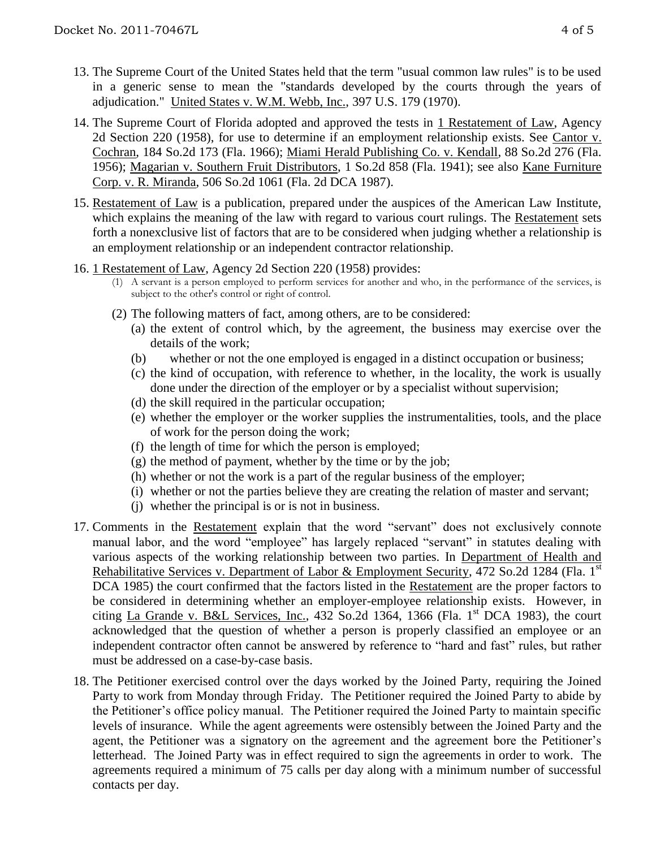- 13. The Supreme Court of the United States held that the term "usual common law rules" is to be used in a generic sense to mean the "standards developed by the courts through the years of adjudication." United States v. W.M. Webb, Inc., 397 U.S. 179 (1970).
- 14. The Supreme Court of Florida adopted and approved the tests in 1 Restatement of Law, Agency 2d Section 220 (1958), for use to determine if an employment relationship exists. See Cantor v. Cochran, 184 So.2d 173 (Fla. 1966); Miami Herald Publishing Co. v. Kendall, 88 So.2d 276 (Fla. 1956); Magarian v. Southern Fruit Distributors, 1 So.2d 858 (Fla. 1941); see also Kane Furniture Corp. v. R. Miranda, 506 So.2d 1061 (Fla. 2d DCA 1987).
- 15. Restatement of Law is a publication, prepared under the auspices of the American Law Institute, which explains the meaning of the law with regard to various court rulings. The Restatement sets forth a nonexclusive list of factors that are to be considered when judging whether a relationship is an employment relationship or an independent contractor relationship.
- 16. 1 Restatement of Law, Agency 2d Section 220 (1958) provides:
	- (1) A servant is a person employed to perform services for another and who, in the performance of the services, is subject to the other's control or right of control.
	- (2) The following matters of fact, among others, are to be considered:
		- (a) the extent of control which, by the agreement, the business may exercise over the details of the work;
		- (b) whether or not the one employed is engaged in a distinct occupation or business;
		- (c) the kind of occupation, with reference to whether, in the locality, the work is usually done under the direction of the employer or by a specialist without supervision;
		- (d) the skill required in the particular occupation;
		- (e) whether the employer or the worker supplies the instrumentalities, tools, and the place of work for the person doing the work;
		- (f) the length of time for which the person is employed;
		- $(g)$  the method of payment, whether by the time or by the job;
		- (h) whether or not the work is a part of the regular business of the employer;
		- (i) whether or not the parties believe they are creating the relation of master and servant;
		- (j) whether the principal is or is not in business.
- 17. Comments in the Restatement explain that the word "servant" does not exclusively connote manual labor, and the word "employee" has largely replaced "servant" in statutes dealing with various aspects of the working relationship between two parties. In Department of Health and Rehabilitative Services v. Department of Labor & Employment Security, 472 So.2d 1284 (Fla. 1<sup>st</sup>) DCA 1985) the court confirmed that the factors listed in the Restatement are the proper factors to be considered in determining whether an employer-employee relationship exists. However, in citing La Grande v. B&L Services, Inc., 432 So.2d 1364, 1366 (Fla. 1st DCA 1983), the court acknowledged that the question of whether a person is properly classified an employee or an independent contractor often cannot be answered by reference to "hard and fast" rules, but rather must be addressed on a case-by-case basis.
- 18. The Petitioner exercised control over the days worked by the Joined Party, requiring the Joined Party to work from Monday through Friday. The Petitioner required the Joined Party to abide by the Petitioner's office policy manual. The Petitioner required the Joined Party to maintain specific levels of insurance. While the agent agreements were ostensibly between the Joined Party and the agent, the Petitioner was a signatory on the agreement and the agreement bore the Petitioner's letterhead. The Joined Party was in effect required to sign the agreements in order to work. The agreements required a minimum of 75 calls per day along with a minimum number of successful contacts per day.